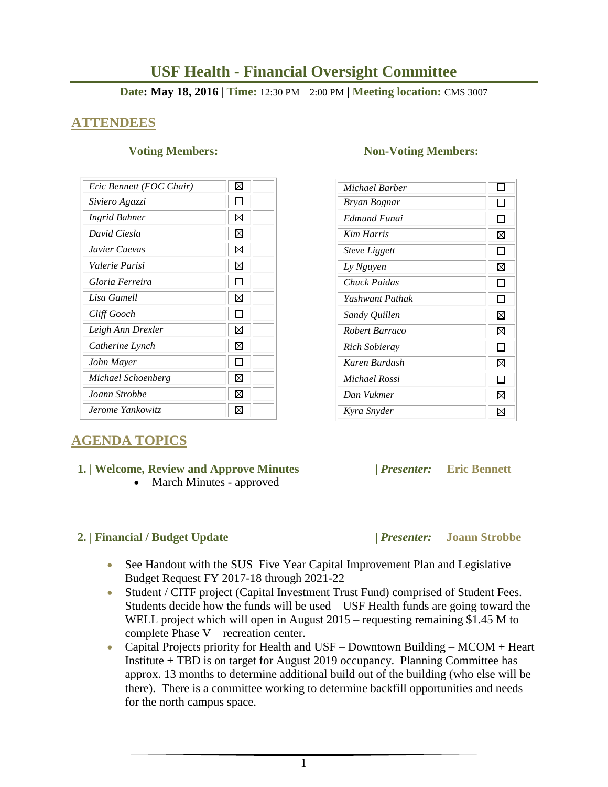# **USF Health - Financial Oversight Committee**

### **Date: May 18, 2016** | **Time:** 12:30 PM – 2:00 PM | **Meeting location:** CMS 3007

# **ATTENDEES**

| Eric Bennett (FOC Chair) | ⋈  |
|--------------------------|----|
| Siviero Agazzi           |    |
| Ingrid Bahner            | ⊠  |
| David Ciesla             | ⊠  |
| Javier Cuevas            | ⋈  |
| Valerie Parisi           | ⊠  |
| Gloria Ferreira          |    |
| Lisa Gamell              | ⋈  |
| Cliff Gooch              |    |
| Leigh Ann Drexler        | ⋉  |
| Catherine Lynch          | ⋈  |
| John Mayer               |    |
| Michael Schoenberg       | ⋉  |
| Joann Strobbe            | M  |
| Jerome Yankowitz         | IХ |

# **AGENDA TOPICS**

### **1. | Welcome, Review and Approve Minutes****|** *Presenter:* **Eric Bennett**

• March Minutes - approved

### **2. | Financial / Budget Update |** *Presenter:* **Joann Strobbe**

### **Voting Members:** Non-Voting Members:

| Michael Barber              |              |
|-----------------------------|--------------|
| Bryan Bognar                |              |
| Edmund Funai                |              |
| <b>Kim Harris</b>           | ⊠            |
| <i><b>Steve Liggett</b></i> | $\mathsf{L}$ |
| Ly Nguyen                   | ⊠            |
| Chuck Paidas                | ΙI           |
| Yashwant Pathak             | $\mathsf{L}$ |
| Sandy Quillen               | ⊠            |
| Robert Barraco              | ⊠            |
| Rich Sobieray               |              |
| Karen Burdash               | ⊠            |
| Michael Rossi               |              |
| Dan Vukmer                  | ⊠            |
| Kyra Snyder                 | ⊠            |

- See Handout with the SUS Five Year Capital Improvement Plan and Legislative Budget Request FY 2017-18 through 2021-22
- Student / CITF project (Capital Investment Trust Fund) comprised of Student Fees. Students decide how the funds will be used – USF Health funds are going toward the WELL project which will open in August 2015 – requesting remaining \$1.45 M to complete Phase V – recreation center.
- Capital Projects priority for Health and USF Downtown Building MCOM + Heart Institute + TBD is on target for August 2019 occupancy. Planning Committee has approx. 13 months to determine additional build out of the building (who else will be there). There is a committee working to determine backfill opportunities and needs for the north campus space.

1